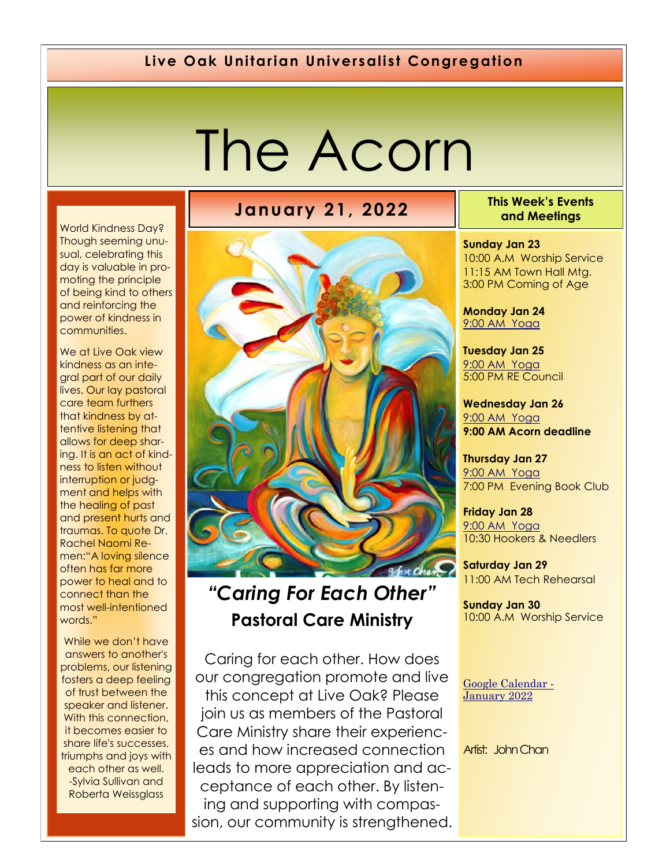#### **Live Oak Unitarian Universalist Congregation**

# The Acorn

World Kindness Day? Though seeming unusual, celebrating this day is valuable in promoting the principle of being kind to others and reinforcing the power of kindness in communities.

We at Live Oak view kindness as an integral part of our daily lives. Our lay pastoral care team furthers that kindness by attentive listening that allows for deep sharing. It is an act of kindness to listen without interruption or judgment and helps with the healing of past and present hurts and traumas. To quote Dr. Rachel Naomi Remen:"A loving silence often has far more power to heal and to connect than the most well-intentioned words."

While we don't have answers to another's problems, our listening fosters a deep feeling of trust between the speaker and listener. With this connection, it becomes easier to share life's successes, triumphs and joys with each other as well. -Sylvia Sullivan and Roberta Weissglass

## **January 21, 2022 This Week's Events**



## *"Caring For Each Other"*  **Pastoral Care Ministry**

Caring for each other. How does our congregation promote and live this concept at Live Oak? Please join us as members of the Pastoral Care Ministry share their experiences and how increased connection leads to more appreciation and acceptance of each other. By listening and supporting with compassion, our community is strengthened. **and Meetings** 

**Sunday Jan 23** 10:00 A.M Worship Service

11:15 AM Town Hall Mtg. 3:00 PM Coming of Age

**Monday Jan 24** 9[:00 AM Yoga](https://us02web.zoom.us/j/86278199291?pwd=WUh1MFJyVXNVOTIyQ1NmanJoSmNXQT09)

**Tuesday Jan 25** [9:](https://us02web.zoom.us/meeting/register/tZ0pc-6qrTwqH9WUfmrB_nZu0MWqJ8CyS3Uw)[00 AM Yoga](https://us02web.zoom.us/j/86278199291?pwd=WUh1MFJyVXNVOTIyQ1NmanJoSmNXQT09) 5:00 PM RE Council

**Wednesday Jan 26** [9:](https://us02web.zoom.us/meeting/register/tZ0pc-6qrTwqH9WUfmrB_nZu0MWqJ8CyS3Uw)[00 AM Yoga](https://us02web.zoom.us/j/86278199291?pwd=WUh1MFJyVXNVOTIyQ1NmanJoSmNXQT09) **9:00 AM Acorn deadline** 

**Thursday Jan 27** [9:](https://us02web.zoom.us/meeting/register/tZ0pc-6qrTwqH9WUfmrB_nZu0MWqJ8CyS3Uw)[00 AM Yoga](https://us02web.zoom.us/j/86278199291?pwd=WUh1MFJyVXNVOTIyQ1NmanJoSmNXQT09) 7:00 PM Evening Book Club

**Friday Jan 28** [9:](https://us02web.zoom.us/meeting/register/tZ0pc-6qrTwqH9WUfmrB_nZu0MWqJ8CyS3Uw)[00 AM Yoga](https://us02web.zoom.us/j/86278199291?pwd=WUh1MFJyVXNVOTIyQ1NmanJoSmNXQT09) 10:30 Hookers & Needlers

**Saturday Jan 29** 11:00 AM Tech Rehearsal

**Sunday Jan 30** 10:00 A.M Worship Service

[Google Calendar -](https://calendar.google.com/calendar/u/1/r/month/2022/1/1) [January 2022](https://calendar.google.com/calendar/u/1/r/month/2022/1/1)

Artist: John Chan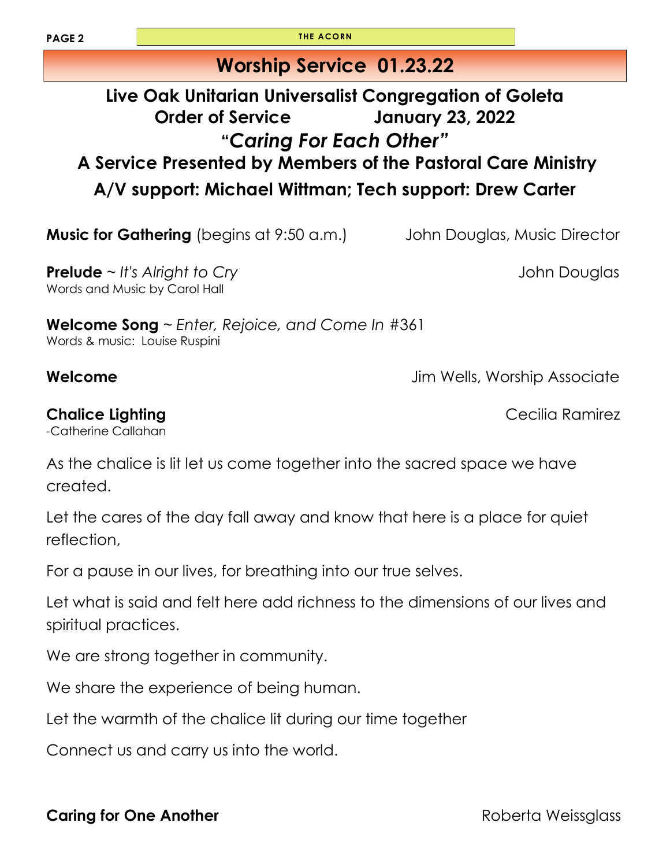**PAGE 2 THE ACORN** 

### **Worship Service 01.23.22**

#### **Live Oak Unitarian Universalist Congregation of Goleta Order of Service January 23, 2022 "***Caring For Each Other"* **A Service Presented by Members of the Pastoral Care Ministry A/V support: Michael Wittman; Tech support: Drew Carter**

**Music for Gathering** (begins at 9:50 a.m.) John Douglas, Music Director

**Prelude** ~ *It's Alright to Cry* **Cry Cry John Douglas** Words and Music by Carol Hall

**Welcome Song** ~ *Enter, Rejoice, and Come In* #361 Words & music: Louise Ruspini

**Welcome** Jim Wells, Worship Associate

**Chalice Lighting** Cecilia Ramirez -Catherine Callahan

As the chalice is lit let us come together into the sacred space we have created.

Let the cares of the day fall away and know that here is a place for quiet reflection,

For a pause in our lives, for breathing into our true selves.

Let what is said and felt here add richness to the dimensions of our lives and spiritual practices.

We are strong together in community.

We share the experience of being human.

Let the warmth of the chalice lit during our time together

Connect us and carry us into the world.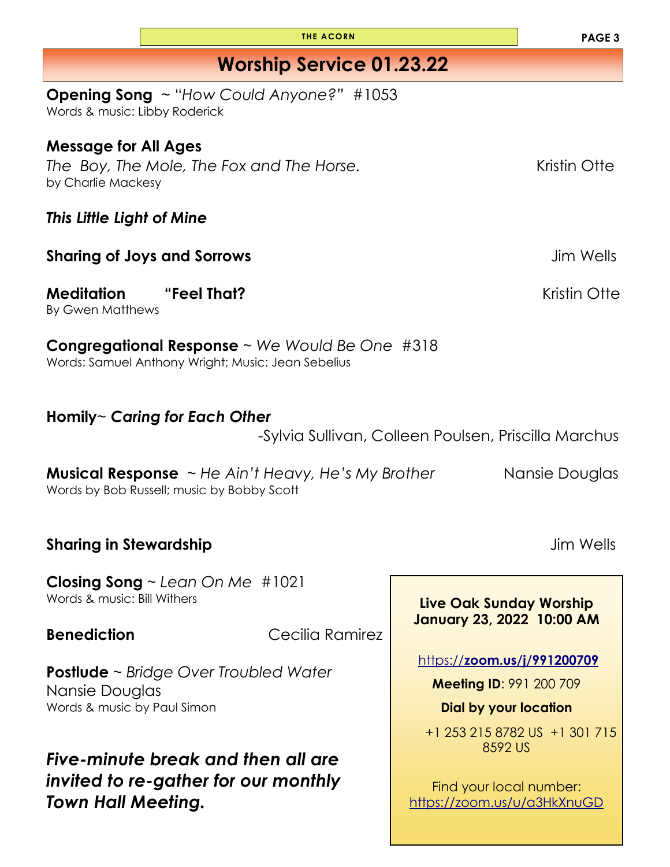| <b>Opening Song</b> ~ "How Could Anyone?" #1053<br>Words & music: Libby Roderick                                               |                                                               |  |  |
|--------------------------------------------------------------------------------------------------------------------------------|---------------------------------------------------------------|--|--|
| <b>Message for All Ages</b><br>The Boy, The Mole, The Fox and The Horse.<br>by Charlie Mackesy                                 | Kristin Otte                                                  |  |  |
| This Little Light of Mine                                                                                                      |                                                               |  |  |
| <b>Sharing of Joys and Sorrows</b><br>Jim Wells                                                                                |                                                               |  |  |
| <b>Meditation</b><br>"Feel That?<br><b>By Gwen Matthews</b>                                                                    | Kristin Otte                                                  |  |  |
| <b>Congregational Response</b> $\sim$ We Would Be One #318<br>Words: Samuel Anthony Wright; Music: Jean Sebelius               |                                                               |  |  |
| Homily~ Caring for Each Other<br>-Sylvia Sullivan, Colleen Poulsen, Priscilla Marchus                                          |                                                               |  |  |
| <b>Musical Response</b> $\sim$ He Ain't Heavy, He's My Brother<br>Nansie Douglas<br>Words by Bob Russell; music by Bobby Scott |                                                               |  |  |
| <b>Sharing in Stewardship</b>                                                                                                  | Jim Wells                                                     |  |  |
| Closing Song $\sim$ Lean On Me #1021<br>Words & music: Bill Withers                                                            | Live Oak Sunday Worship<br>January 23, 2022 10:00 AM          |  |  |
| <b>Benediction</b><br>Cecilia Ramirez                                                                                          |                                                               |  |  |
| <b>Postlude</b> $\sim$ Bridge Over Troubled Water                                                                              | https://zoom.us/j/991200709<br><b>Meeting ID: 991 200 709</b> |  |  |
| Nansie Douglas<br>Words & music by Paul Simon                                                                                  | <b>Dial by your location</b>                                  |  |  |
|                                                                                                                                | $0.15.0700110 + 1.001.715$                                    |  |  |

*Five-minute break and then all are invited to re-gather for our monthly Town Hall Meeting.*

**PAGE 3**

+1 253 215 8782 US +1 301 715 8592 US

Find your local number: <https://zoom.us/u/a3HkXnuGD>

**Worship Service 01.23.22**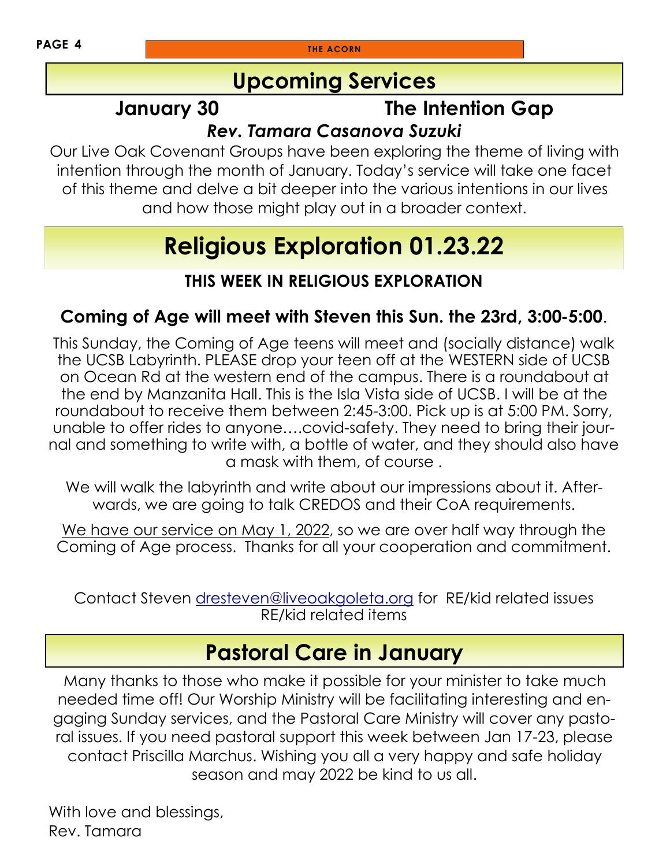**PAGE 4 THE ACORN** 

### **Upcoming Services**

## **January 30 The Intention Gap**

#### *Rev. Tamara Casanova Suzuki*

Our Live Oak Covenant Groups have been exploring the theme of living with intention through the month of January. Today's service will take one facet of this theme and delve a bit deeper into the various intentions in our lives and how those might play out in a broader context.

## **Religious Exploration 01.23.22**

#### **THIS WEEK IN RELIGIOUS EXPLORATION**

#### **Coming of Age will meet with Steven this Sun. the 23rd, 3:00-5:00**.

This Sunday, the Coming of Age teens will meet and (socially distance) walk the UCSB Labyrinth. PLEASE drop your teen off at the WESTERN side of UCSB on Ocean Rd at the western end of the campus. There is a roundabout at the end by Manzanita Hall. This is the Isla Vista side of UCSB. I will be at the roundabout to receive them between 2:45-3:00. Pick up is at 5:00 PM. Sorry, unable to offer rides to anyone….covid-safety. They need to bring their journal and something to write with, a bottle of water, and they should also have a mask with them, of course .

We will walk the labyrinth and write about our impressions about it. Afterwards, we are going to talk CREDOS and their CoA requirements.

We have our service on May 1, 2022, so we are over half way through the Coming of Age process. Thanks for all your cooperation and commitment.

Contact Steven [dresteven@liveoakgoleta.org](mailto:dresteven@liveoakgoleta.org) for RE/kid related issues RE/kid related items

## **Pastoral Care in January**

Many thanks to those who make it possible for your minister to take much needed time off! Our Worship Ministry will be facilitating interesting and engaging Sunday services, and the Pastoral Care Ministry will cover any pastoral issues. If you need pastoral support this week between Jan 17-23, please contact Priscilla Marchus. Wishing you all a very happy and safe holiday season and may 2022 be kind to us all.

With love and blessings, Rev. Tamara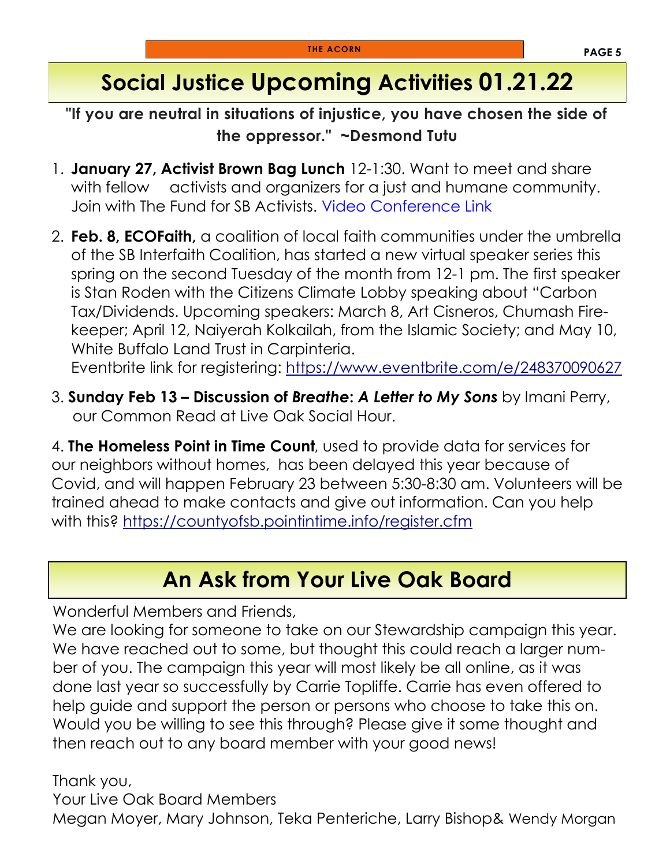## **Social Justice Upcoming Activities 01.21.22**

**"If you are neutral in situations of injustice, you have chosen the side of the oppressor." ~Desmond Tutu**

- 1. **January 27, Activist Brown Bag Lunch** 12-1:30. Want to meet and share with fellow activists and organizers for a just and humane community. Join with The Fund for SB Activists. [Video Conference Link](https://us02web.zoom.us/j/89308621694?pwd=NVlMTWRkeVd3UkE3OVJoRGhSaFRJQT09)
- 2. **Feb. 8, ECOFaith,** a coalition of local faith communities under the umbrella of the SB Interfaith Coalition, has started a new virtual speaker series this spring on the second Tuesday of the month from 12-1 pm. The first speaker is Stan Roden with the Citizens Climate Lobby speaking about "Carbon Tax/Dividends. Upcoming speakers: March 8, Art Cisneros, Chumash Firekeeper; April 12, Naiyerah Kolkailah, from the Islamic Society; and May 10, White Buffalo Land Trust in Carpinteria. Eventbrite link for registering:<https://www.eventbrite.com/e/248370090627>
- 3. **Sunday Feb 13 – Discussion of** *Breathe***:** *A Letter to My Sons* by Imani Perry, our Common Read at Live Oak Social Hour.

4. **The Homeless Point in Time Count**, used to provide data for services for our neighbors without homes, has been delayed this year because of Covid, and will happen February 23 between 5:30-8:30 am. Volunteers will be trained ahead to make contacts and give out information. Can you help with this?<https://countyofsb.pointintime.info/register.cfm>

### **An Ask from Your Live Oak Board**

Wonderful Members and Friends,

We are looking for someone to take on our Stewardship campaign this year. We have reached out to some, but thought this could reach a larger number of you. The campaign this year will most likely be all online, as it was done last year so successfully by Carrie Topliffe. Carrie has even offered to help guide and support the person or persons who choose to take this on. Would you be willing to see this through? Please give it some thought and then reach out to any board member with your good news!

Thank you,

Your Live Oak Board Members Megan Moyer, Mary Johnson, Teka Penteriche, Larry Bishop& Wendy Morgan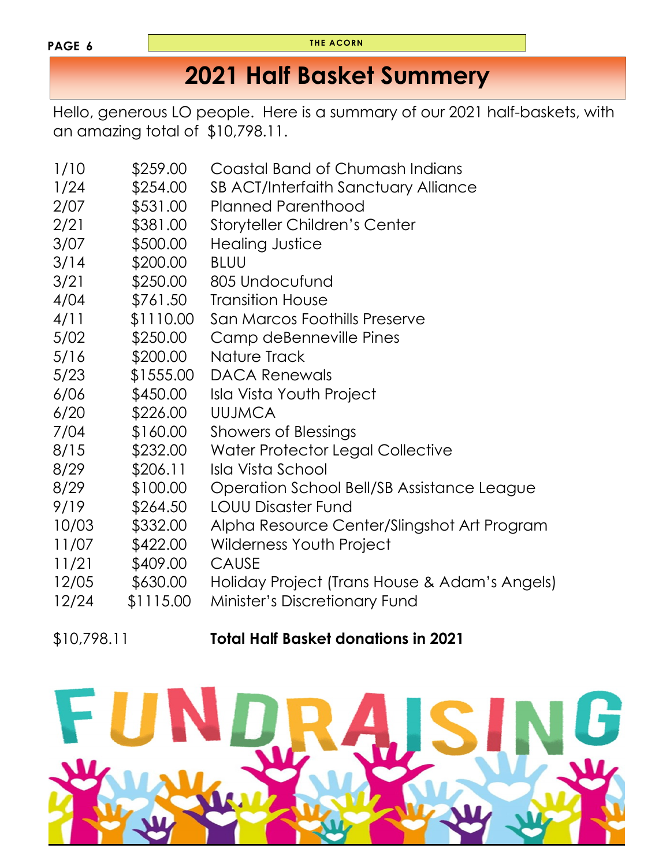#### **PAGE 6**

**THE ACORN**

## **2021 Half Basket Summery**

Hello, generous LO people. Here is a summary of our 2021 half-baskets, with an amazing total of \$10,798.11.

| 1/10<br>1/24<br>2/07<br>2/21<br>3/07 | \$259.00<br>\$254.00<br>\$531.00<br>\$381.00<br>\$500.00 | Coastal Band of Chumash Indians<br>SB ACT/Interfaith Sanctuary Alliance<br><b>Planned Parenthood</b><br><b>Storyteller Children's Center</b><br><b>Healing Justice</b> |
|--------------------------------------|----------------------------------------------------------|------------------------------------------------------------------------------------------------------------------------------------------------------------------------|
| 3/14                                 | \$200.00                                                 | <b>BLUU</b>                                                                                                                                                            |
| 3/21                                 | \$250.00                                                 | 805 Undocufund                                                                                                                                                         |
| 4/04                                 | \$761.50                                                 | <b>Transition House</b>                                                                                                                                                |
| 4/11                                 | \$1110.00                                                | San Marcos Foothills Preserve                                                                                                                                          |
| 5/02                                 | \$250.00                                                 | Camp deBenneville Pines                                                                                                                                                |
| 5/16                                 | \$200.00                                                 | Nature Track                                                                                                                                                           |
| 5/23                                 | \$1555.00                                                | <b>DACA Renewals</b>                                                                                                                                                   |
| 6/06                                 | \$450.00                                                 | <b>Isla Vista Youth Project</b>                                                                                                                                        |
| 6/20                                 | \$226.00                                                 | <b>UUJMCA</b>                                                                                                                                                          |
| 7/04                                 | \$160.00                                                 | <b>Showers of Blessings</b>                                                                                                                                            |
| 8/15                                 | \$232.00                                                 | Water Protector Legal Collective                                                                                                                                       |
| 8/29                                 | \$206.11                                                 | Isla Vista School                                                                                                                                                      |
| 8/29                                 | \$100.00                                                 | Operation School Bell/SB Assistance League                                                                                                                             |
| 9/19                                 | \$264.50                                                 | <b>LOUU Disaster Fund</b>                                                                                                                                              |
| 10/03                                | \$332.00                                                 | Alpha Resource Center/Slingshot Art Program                                                                                                                            |
| 11/07                                | \$422.00                                                 | <b>Wilderness Youth Project</b>                                                                                                                                        |
| 11/21                                | \$409.00                                                 | <b>CAUSE</b>                                                                                                                                                           |
| 12/05                                | \$630.00                                                 | Holiday Project (Trans House & Adam's Angels)                                                                                                                          |
| 12/24                                | \$1115.00                                                | Minister's Discretionary Fund                                                                                                                                          |

#### \$10,798.11 **Total Half Basket donations in 2021**

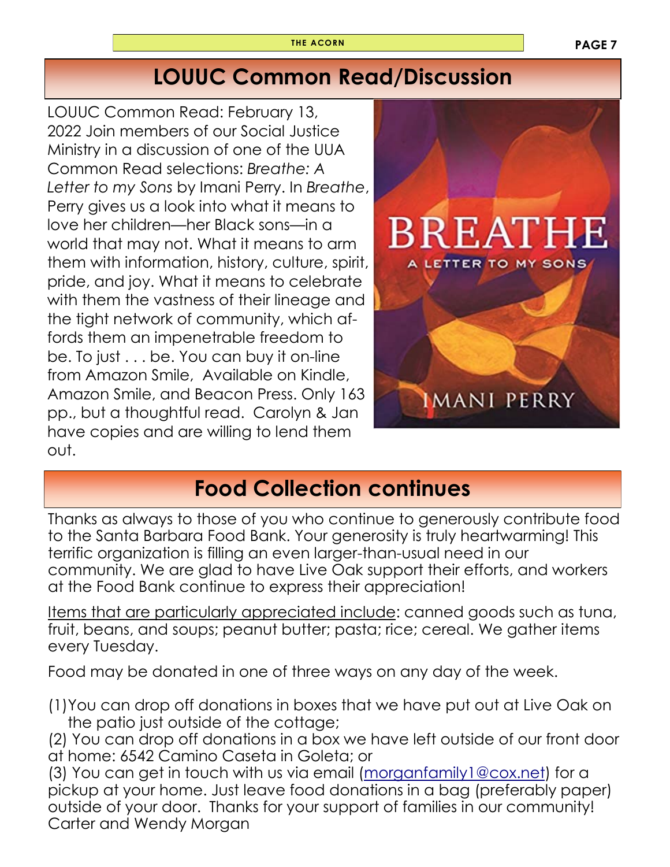## **LOUUC Common Read/Discussion**

LOUUC Common Read: February 13, 2022 Join members of our Social Justice Ministry in a discussion of one of the UUA Common Read selections: *Breathe: A Letter to my Sons* by Imani Perry. In *Breathe*, Perry gives us a look into what it means to love her children—her Black sons—in a world that may not. What it means to arm them with information, history, culture, spirit, pride, and joy. What it means to celebrate with them the vastness of their lineage and the tight network of community, which affords them an impenetrable freedom to be. To just . . . be. You can buy it on-line from Amazon Smile, Available on Kindle, Amazon Smile, and Beacon Press. Only 163 pp., but a thoughtful read. Carolyn & Jan have copies and are willing to lend them out.



## **Food Collection continues**

Thanks as always to those of you who continue to generously contribute food to the Santa Barbara Food Bank. Your generosity is truly heartwarming! This terrific organization is filling an even larger-than-usual need in our community. We are glad to have Live Oak support their efforts, and workers at the Food Bank continue to express their appreciation!

Items that are particularly appreciated include: canned goods such as tuna, fruit, beans, and soups; peanut butter; pasta; rice; cereal. We gather items every Tuesday.

Food may be donated in one of three ways on any day of the week.

- (1)You can drop off donations in boxes that we have put out at Live Oak on the patio just outside of the cottage;
- (2) You can drop off donations in a box we have left outside of our front door at home: 6542 Camino Caseta in Goleta; or

(3) You can get in touch with us via email ([morganfamily1@cox.net\)](mailto:morganfamily1@cox.net) for a pickup at your home. Just leave food donations in a bag (preferably paper) outside of your door. Thanks for your support of families in our community! Carter and Wendy Morgan